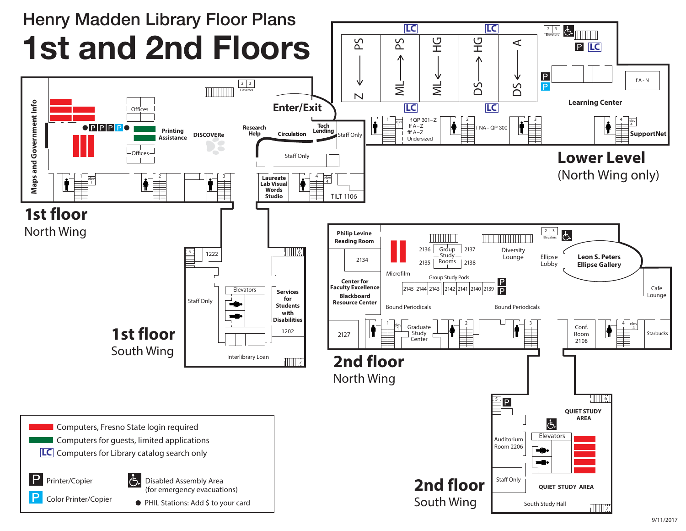